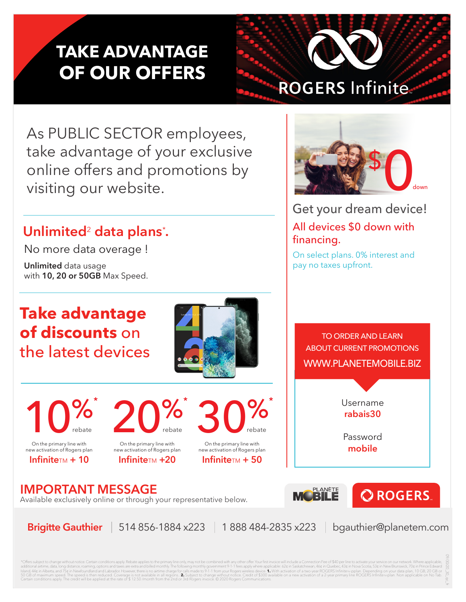## **TAKE ADVANTAGE OF OUR OFFERS**



As PUBLIC SECTOR employees, take advantage of your exclusive online offers and promotions by visiting our website.

## **Unlimited**2 **data plans**\* **.**

No more data overage !

**Unlimited** data usage with **10, 20 or 50GB** Max Speed.

## **Take advantage of discounts** on the latest devices



TO ORDER AND LEARN ABOUT CURRENT PROMOTIONS WWW.PLANETEMOBILE.BIZ

> Username **rabais30**

Password **mobile**

**PLANÈTE** 

MUBILE



rebate

Available exclusively online or through your representative below.

On the primary line with new activation of Rogers plan **Infinite**TM +20

 $20\%$ 

On the primary line with new activation of Rogers plan **Infinite** $TM + 10$ 

 $10\%$ 

rebate

rebate

**Brigitte Gauthier** | 514 856-1884 x223 | 1 888 484-2835 x223 | bgauthier@planetem.com

**QROGERS** 

\*Offers subject to change without notice. Certain conditions apply. Rebate applies to the primary line only, may not be combined with any other offer. Your first invoice will include a Connection Fee of \$40 per line to act dit will be applied at the rate of \$ 12.50 /month from the 2nd or 3rd Rogers involved. © 2020 Rogers in volume

On the primary line with new activation of Rogers plan **Infinite** $TM + 50$ 

 $30\%$ 



Get your dream device!

On select plans. 0% interest and

All devices \$0 down with

pay no taxes upfront.

financing.



09/30/20\_30\_qc\_fr